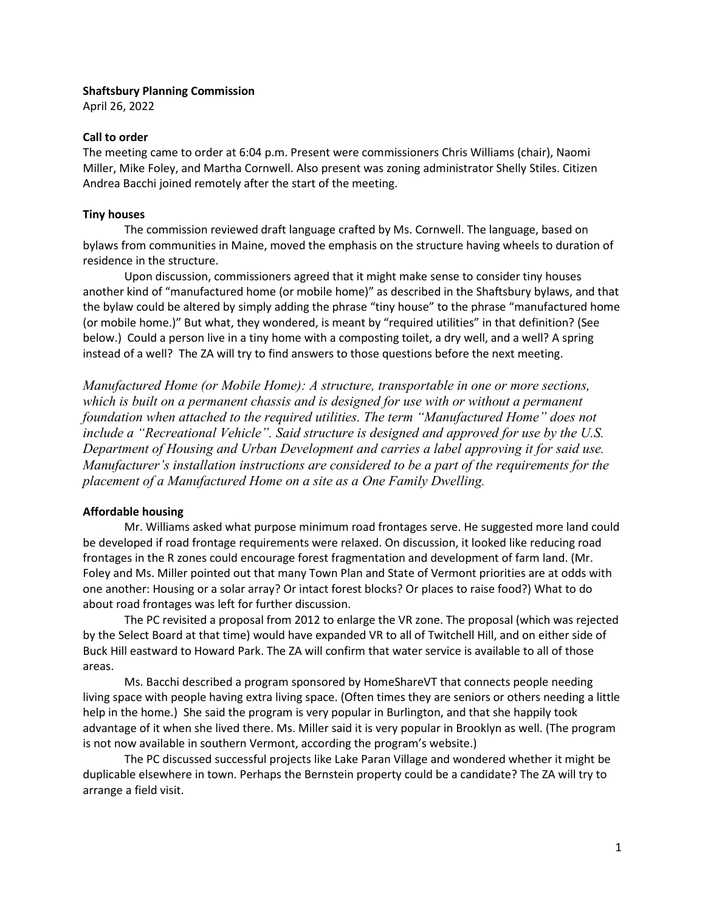## **Shaftsbury Planning Commission**

April 26, 2022

## **Call to order**

The meeting came to order at 6:04 p.m. Present were commissioners Chris Williams (chair), Naomi Miller, Mike Foley, and Martha Cornwell. Also present was zoning administrator Shelly Stiles. Citizen Andrea Bacchi joined remotely after the start of the meeting.

# **Tiny houses**

The commission reviewed draft language crafted by Ms. Cornwell. The language, based on bylaws from communities in Maine, moved the emphasis on the structure having wheels to duration of residence in the structure.

Upon discussion, commissioners agreed that it might make sense to consider tiny houses another kind of "manufactured home (or mobile home)" as described in the Shaftsbury bylaws, and that the bylaw could be altered by simply adding the phrase "tiny house" to the phrase "manufactured home (or mobile home.)" But what, they wondered, is meant by "required utilities" in that definition? (See below.) Could a person live in a tiny home with a composting toilet, a dry well, and a well? A spring instead of a well? The ZA will try to find answers to those questions before the next meeting.

*Manufactured Home (or Mobile Home): A structure, transportable in one or more sections, which is built on a permanent chassis and is designed for use with or without a permanent foundation when attached to the required utilities. The term "Manufactured Home" does not include a "Recreational Vehicle". Said structure is designed and approved for use by the U.S. Department of Housing and Urban Development and carries a label approving it for said use. Manufacturer's installation instructions are considered to be a part of the requirements for the placement of a Manufactured Home on a site as a One Family Dwelling.*

# **Affordable housing**

Mr. Williams asked what purpose minimum road frontages serve. He suggested more land could be developed if road frontage requirements were relaxed. On discussion, it looked like reducing road frontages in the R zones could encourage forest fragmentation and development of farm land. (Mr. Foley and Ms. Miller pointed out that many Town Plan and State of Vermont priorities are at odds with one another: Housing or a solar array? Or intact forest blocks? Or places to raise food?) What to do about road frontages was left for further discussion.

The PC revisited a proposal from 2012 to enlarge the VR zone. The proposal (which was rejected by the Select Board at that time) would have expanded VR to all of Twitchell Hill, and on either side of Buck Hill eastward to Howard Park. The ZA will confirm that water service is available to all of those areas.

Ms. Bacchi described a program sponsored by HomeShareVT that connects people needing living space with people having extra living space. (Often times they are seniors or others needing a little help in the home.) She said the program is very popular in Burlington, and that she happily took advantage of it when she lived there. Ms. Miller said it is very popular in Brooklyn as well. (The program is not now available in southern Vermont, according the program's website.)

The PC discussed successful projects like Lake Paran Village and wondered whether it might be duplicable elsewhere in town. Perhaps the Bernstein property could be a candidate? The ZA will try to arrange a field visit.